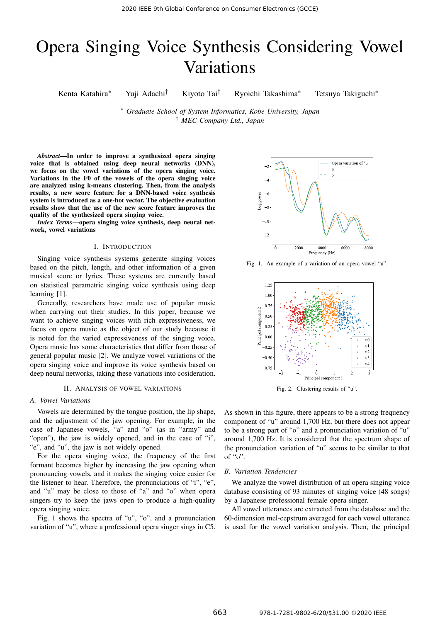# Opera Singing Voice Synthesis Considering Vowel Variations

Kenta Katahira*∗* Yuji Adachi*†* Kiyoto Tai*†* Ryoichi Takashima*∗* Tetsuya Takiguchi*∗*

*∗ Graduate School of System Informatics, Kobe University, Japan † MEC Company Ltd., Japan*

*Abstract*—In order to improve a synthesized opera singing voice that is obtained using deep neural networks (DNN), we focus on the vowel variations of the opera singing voice. Variations in the F0 of the vowels of the opera singing voice are analyzed using k-means clustering. Then, from the analysis results, a new score feature for a DNN-based voice synthesis system is introduced as a one-hot vector. The objective evaluation results show that the use of the new score feature improves the quality of the synthesized opera singing voice.

*Index Terms*—opera singing voice synthesis, deep neural network, vowel variations

#### I. INTRODUCTION

Singing voice synthesis systems generate singing voices based on the pitch, length, and other information of a given musical score or lyrics. These systems are currently based on statistical parametric singing voice synthesis using deep learning [1].

Generally, researchers have made use of popular music when carrying out their studies. In this paper, because we want to achieve singing voices with rich expressiveness, we focus on opera music as the object of our study because it is noted for the varied expressiveness of the singing voice. Opera music has some characteristics that differ from those of general popular music [2]. We analyze vowel variations of the opera singing voice and improve its voice synthesis based on deep neural networks, taking these variations into cosideration.

## II. ANALYSIS OF VOWEL VARIATIONS

## *A. Vowel Variations*

Vowels are determined by the tongue position, the lip shape, and the adjustment of the jaw opening. For example, in the case of Japanese vowels, "a" and "o" (as in "army" and "open"), the jaw is widely opened, and in the case of "i", "e", and "u", the jaw is not widely opened.

For the opera singing voice, the frequency of the first formant becomes higher by increasing the jaw opening when pronouncing vowels, and it makes the singing voice easier for the listener to hear. Therefore, the pronunciations of "i", "e", and "u" may be close to those of "a" and "o" when opera singers try to keep the jaws open to produce a high-quality opera singing voice.

Fig. 1 shows the spectra of "u", "o", and a pronunciation variation of "u", where a professional opera singer sings in C5.



Fig. 1. An example of a variation of an opera vowel "u".



Fig. 2. Clustering results of "u".

As shown in this figure, there appears to be a strong frequency component of "u" around 1,700 Hz, but there does not appear to be a strong part of "o" and a pronunciation variation of "u" around 1,700 Hz. It is considered that the spectrum shape of the pronunciation variation of "u" seems to be similar to that of " $o$ ".

#### *B. Variation Tendencies*

We analyze the vowel distribution of an opera singing voice database consisting of 93 minutes of singing voice (48 songs) by a Japanese professional female opera singer.

All vowel utterances are extracted from the database and the 60-dimension mel-cepstrum averaged for each vowel utterance is used for the vowel variation analysis. Then, the principal